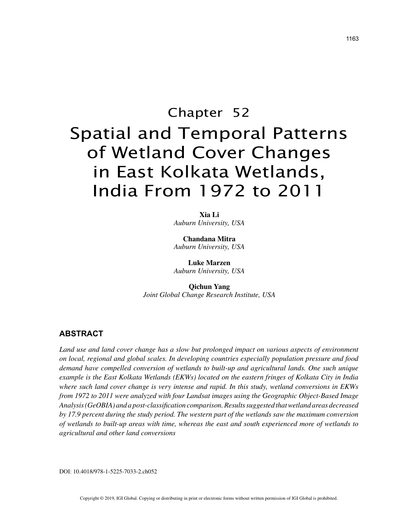# Chapter 52 Spatial and Temporal Patterns of Wetland Cover Changes in East Kolkata Wetlands, India From 1972 to 2011

**Xia Li** *Auburn University, USA*

**Chandana Mitra** *Auburn University, USA*

**Luke Marzen** *Auburn University, USA*

**Qichun Yang** *Joint Global Change Research Institute, USA*

#### **ABSTRACT**

*Land use and land cover change has a slow but prolonged impact on various aspects of environment on local, regional and global scales. In developing countries especially population pressure and food demand have compelled conversion of wetlands to built-up and agricultural lands. One such unique example is the East Kolkata Wetlands (EKWs) located on the eastern fringes of Kolkata City in India where such land cover change is very intense and rapid. In this study, wetland conversions in EKWs from 1972 to 2011 were analyzed with four Landsat images using the Geographic Object-Based Image Analysis (GeOBIA) and a post-classification comparison. Results suggested that wetland areas decreased by 17.9 percent during the study period. The western part of the wetlands saw the maximum conversion of wetlands to built-up areas with time, whereas the east and south experienced more of wetlands to agricultural and other land conversions*

DOI: 10.4018/978-1-5225-7033-2.ch052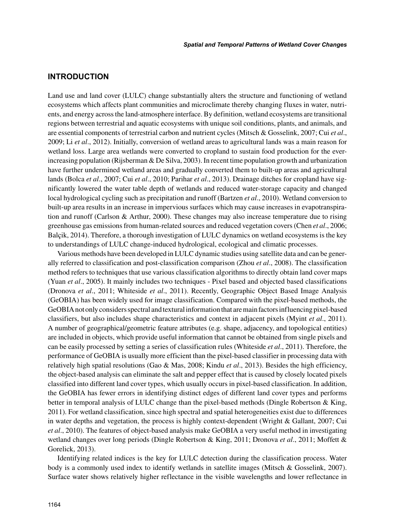## **INTRODUCTION**

Land use and land cover (LULC) change substantially alters the structure and functioning of wetland ecosystems which affects plant communities and microclimate thereby changing fluxes in water, nutrients, and energy across the land-atmosphere interface. By definition, wetland ecosystems are transitional regions between terrestrial and aquatic ecosystems with unique soil conditions, plants, and animals, and are essential components of terrestrial carbon and nutrient cycles (Mitsch & Gosselink, 2007; Cui *et al*., 2009; Li *et al*., 2012). Initially, conversion of wetland areas to agricultural lands was a main reason for wetland loss. Large area wetlands were converted to cropland to sustain food production for the everincreasing population (Rijsberman & De Silva, 2003). In recent time population growth and urbanization have further undermined wetland areas and gradually converted them to built-up areas and agricultural lands (Bolca *et al*., 2007; Cui *et al*., 2010; Parihar *et al*., 2013). Drainage ditches for cropland have significantly lowered the water table depth of wetlands and reduced water-storage capacity and changed local hydrological cycling such as precipitation and runoff (Bartzen *et al*., 2010). Wetland conversion to built-up area results in an increase in impervious surfaces which may cause increases in evapotranspiration and runoff (Carlson & Arthur, 2000). These changes may also increase temperature due to rising greenhouse gas emissions from human-related sources and reduced vegetation covers (Chen *et al*., 2006; Balçik, 2014). Therefore, a thorough investigation of LULC dynamics on wetland ecosystems is the key to understandings of LULC change-induced hydrological, ecological and climatic processes.

Various methods have been developed in LULC dynamic studies using satellite data and can be generally referred to classification and post-classification comparison (Zhou *et al*., 2008). The classification method refers to techniques that use various classification algorithms to directly obtain land cover maps (Yuan *et al*., 2005). It mainly includes two techniques - Pixel based and objected based classifications (Dronova *et al*., 2011; Whiteside *et al*., 2011). Recently, Geographic Object Based Image Analysis (GeOBIA) has been widely used for image classification. Compared with the pixel-based methods, the GeOBIA not only considers spectral and textural information that are main factors influencing pixel-based classifiers, but also includes shape characteristics and context in adjacent pixels (Myint *et al*., 2011). A number of geographical/geometric feature attributes (e.g. shape, adjacency, and topological entities) are included in objects, which provide useful information that cannot be obtained from single pixels and can be easily processed by setting a series of classification rules (Whiteside *et al*., 2011). Therefore, the performance of GeOBIA is usually more efficient than the pixel-based classifier in processing data with relatively high spatial resolutions (Gao & Mas, 2008; Kindu *et al*., 2013). Besides the high efficiency, the object-based analysis can eliminate the salt and pepper effect that is caused by closely located pixels classified into different land cover types, which usually occurs in pixel-based classification. In addition, the GeOBIA has fewer errors in identifying distinct edges of different land cover types and performs better in temporal analysis of LULC change than the pixel-based methods (Dingle Robertson & King, 2011). For wetland classification, since high spectral and spatial heterogeneities exist due to differences in water depths and vegetation, the process is highly context-dependent (Wright & Gallant, 2007; Cui *et al*., 2010). The features of object-based analysis make GeOBIA a very useful method in investigating wetland changes over long periods (Dingle Robertson & King, 2011; Dronova *et al*., 2011; Moffett & Gorelick, 2013).

Identifying related indices is the key for LULC detection during the classification process. Water body is a commonly used index to identify wetlands in satellite images (Mitsch & Gosselink, 2007). Surface water shows relatively higher reflectance in the visible wavelengths and lower reflectance in